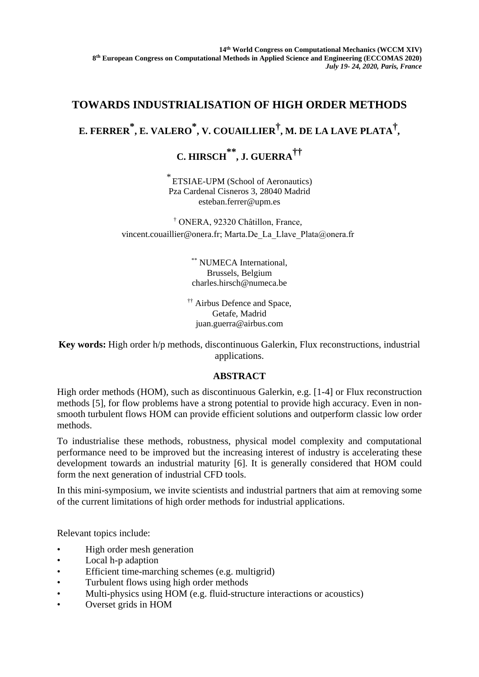### **TOWARDS INDUSTRIALISATION OF HIGH ORDER METHODS**

# **E. FERRER \*, E. VALERO \* , V. COUAILLIER† , M. DE LA LAVE PLATA† ,**

## **C. HIRSCH \*\*, J. GUERRA††**

\* ETSIAE-UPM (School of Aeronautics) Pza Cardenal Cisneros 3, 28040 Madrid esteban.ferrer@upm.es

† ONERA, 92320 Châtillon, France, vincent.couaillier@onera.fr; Marta.De\_La\_Llave\_Plata@onera.fr

> \*\* NUMECA International, Brussels, Belgium charles.hirsch@numeca.be

†† Airbus Defence and Space, Getafe, Madrid juan.guerra@airbus.com

**Key words:** High order h/p methods, discontinuous Galerkin, Flux reconstructions, industrial applications.

#### **ABSTRACT**

High order methods (HOM), such as discontinuous Galerkin, e.g. [1-4] or Flux reconstruction methods [5], for flow problems have a strong potential to provide high accuracy. Even in nonsmooth turbulent flows HOM can provide efficient solutions and outperform classic low order methods.

To industrialise these methods, robustness, physical model complexity and computational performance need to be improved but the increasing interest of industry is accelerating these development towards an industrial maturity [6]. It is generally considered that HOM could form the next generation of industrial CFD tools.

In this mini-symposium, we invite scientists and industrial partners that aim at removing some of the current limitations of high order methods for industrial applications.

Relevant topics include:

- High order mesh generation
- Local h-p adaption
- Efficient time-marching schemes (e.g. multigrid)
- Turbulent flows using high order methods
- Multi-physics using HOM (e.g. fluid-structure interactions or acoustics)
- Overset grids in HOM